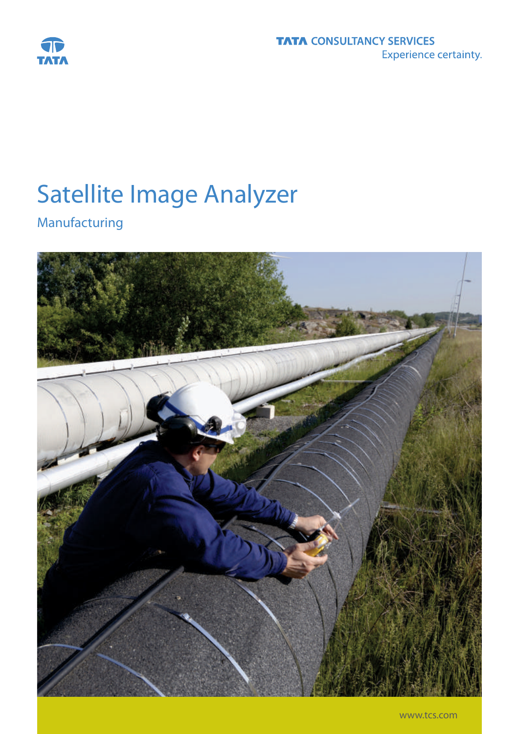

# Satellite Image Analyzer

Manufacturing

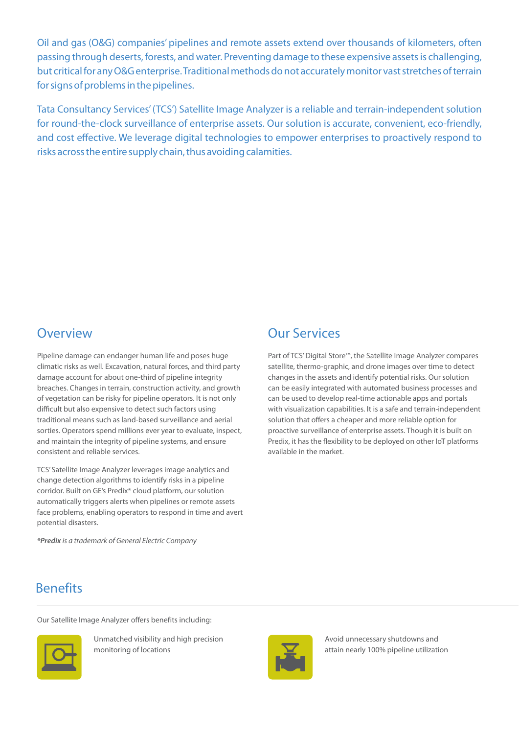Oil and gas (O&G) companies' pipelines and remote assets extend over thousands of kilometers, often passing through deserts, forests, and water. Preventing damage to these expensive assets is challenging, but critical for any O&G enterprise. Traditional methods do not accurately monitor vast stretches of terrain for signs of problems in the pipelines.

Tata Consultancy Services' (TCS') Satellite Image Analyzer is a reliable and terrain-independent solution for round-the-clock surveillance of enterprise assets. Our solution is accurate, convenient, eco-friendly, and cost effective. We leverage digital technologies to empower enterprises to proactively respond to risks across the entire supply chain, thus avoiding calamities.

## **Overview**

Pipeline damage can endanger human life and poses huge climatic risks as well. Excavation, natural forces, and third party damage account for about one-third of pipeline integrity breaches. Changes in terrain, construction activity, and growth of vegetation can be risky for pipeline operators. It is not only difficult but also expensive to detect such factors using traditional means such as land-based surveillance and aerial sorties. Operators spend millions ever year to evaluate, inspect, and maintain the integrity of pipeline systems, and ensure consistent and reliable services.

TCS' Satellite Image Analyzer leverages image analytics and change detection algorithms to identify risks in a pipeline corridor. Built on GE's Predix\* cloud platform, our solution automatically triggers alerts when pipelines or remote assets face problems, enabling operators to respond in time and avert potential disasters.

**\*Predix** is a trademark of General Electric Company

# Our Services

Part of TCS' Digital Store™, the Satellite Image Analyzer compares satellite, thermo-graphic, and drone images over time to detect changes in the assets and identify potential risks. Our solution can be easily integrated with automated business processes and can be used to develop real-time actionable apps and portals with visualization capabilities. It is a safe and terrain-independent solution that offers a cheaper and more reliable option for proactive surveillance of enterprise assets. Though it is built on Predix, it has the flexibility to be deployed on other IoT platforms available in the market.

## **Benefits**

Our Satellite Image Analyzer offers benefits including:



Unmatched visibility and high precision monitoring of locations



Avoid unnecessary shutdowns and attain nearly 100% pipeline utilization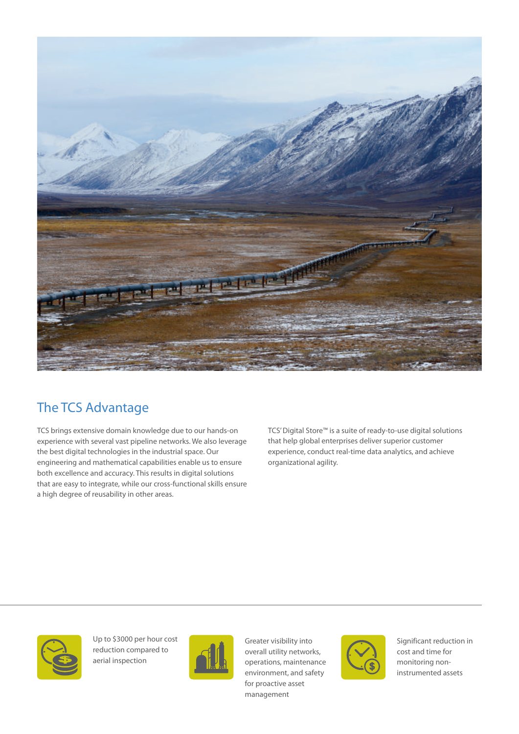

# The TCS Advantage

TCS brings extensive domain knowledge due to our hands-on experience with several vast pipeline networks. We also leverage the best digital technologies in the industrial space. Our engineering and mathematical capabilities enable us to ensure both excellence and accuracy. This results in digital solutions that are easy to integrate, while our cross-functional skills ensure a high degree of reusability in other areas.

TCS' Digital Store™ is a suite of ready-to-use digital solutions that help global enterprises deliver superior customer experience, conduct real-time data analytics, and achieve organizational agility.



Up to \$3000 per hour cost reduction compared to aerial inspection



Greater visibility into overall utility networks, operations, maintenance environment, and safety for proactive asset management



Significant reduction in cost and time for monitoring noninstrumented assets